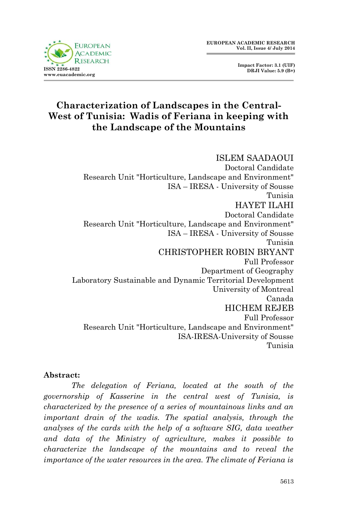**Impact Factor: 3.1 (UIF) DRJI Value: 5.9 (B+)**

# **Characterization of Landscapes in the Central-West of Tunisia: Wadis of Feriana in keeping with the Landscape of the Mountains**

ISLEM SAADAOUI Doctoral Candidate Research Unit "Horticulture, Landscape and Environment" ISA – IRESA - University of Sousse Tunisia HAYET ILAHI Doctoral Candidate Research Unit "Horticulture, Landscape and Environment" ISA – IRESA - University of Sousse Tunisia CHRISTOPHER ROBIN BRYANT Full Professor Department of Geography Laboratory Sustainable and Dynamic Territorial Development University of Montreal Canada HICHEM REJEB Full Professor Research Unit "Horticulture, Landscape and Environment" ISA-IRESA-University of Sousse Tunisia

#### **Abstract:**

*The delegation of Feriana, located at the south of the governorship of Kasserine in the central west of Tunisia, is characterized by the presence of a series of mountainous links and an important drain of the wadis. The spatial analysis, through the analyses of the cards with the help of a software SIG, data weather and data of the Ministry of agriculture, makes it possible to characterize the landscape of the mountains and to reveal the importance of the water resources in the area. The climate of Feriana is*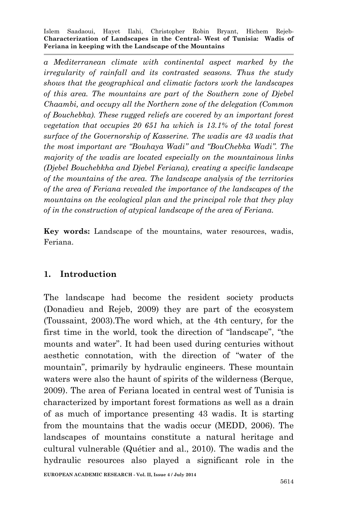*a Mediterranean climate with continental aspect marked by the irregularity of rainfall and its contrasted seasons. Thus the study shows that the geographical and climatic factors work the landscapes of this area. The mountains are part of the Southern zone of Djebel Chaambi, and occupy all the Northern zone of the delegation (Common of Bouchebka). These rugged reliefs are covered by an important forest vegetation that occupies 20 651 ha which is 13.1% of the total forest surface of the Governorship of Kasserine. The wadis are 43 wadis that the most important are "Bouhaya Wadi" and "BouChebka Wadi". The majority of the wadis are located especially on the mountainous links (Djebel Bouchebkha and Djebel Feriana), creating a specific landscape of the mountains of the area. The landscape analysis of the territories of the area of Feriana revealed the importance of the landscapes of the mountains on the ecological plan and the principal role that they play of in the construction of atypical landscape of the area of Feriana.*

**Key words:** Landscape of the mountains, water resources, wadis, Feriana.

### **1. Introduction**

The landscape had become the resident society products (Donadieu and Rejeb, 2009) they are part of the ecosystem (Toussaint, 2003).The word which, at the 4th century, for the first time in the world, took the direction of "landscape", "the mounts and water". It had been used during centuries without aesthetic connotation, with the direction of "water of the mountain", primarily by hydraulic engineers. These mountain waters were also the haunt of spirits of the wilderness (Berque, 2009). The area of Feriana located in central west of Tunisia is characterized by important forest formations as well as a drain of as much of importance presenting 43 wadis. It is starting from the mountains that the wadis occur (MEDD, 2006). The landscapes of mountains constitute a natural heritage and cultural vulnerable (Quétier and al., 2010). The wadis and the hydraulic resources also played a significant role in the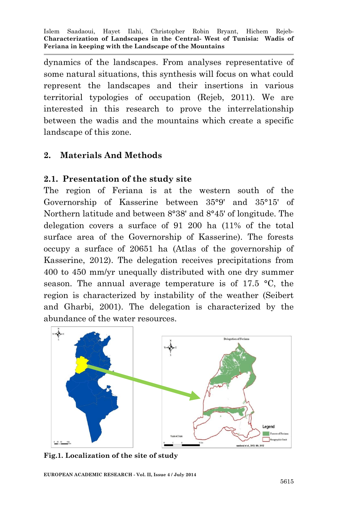dynamics of the landscapes. From analyses representative of some natural situations, this synthesis will focus on what could represent the landscapes and their insertions in various territorial typologies of occupation (Rejeb, 2011). We are interested in this research to prove the interrelationship between the wadis and the mountains which create a specific landscape of this zone.

### **2. Materials And Methods**

### **2.1. Presentation of the study site**

The region of Feriana is at the western south of the Governorship of Kasserine between 35°9' and 35°15' of Northern latitude and between 8°38' and 8°45' of longitude. The delegation covers a surface of 91 200 ha (11% of the total surface area of the Governorship of Kasserine). The forests occupy a surface of 20651 ha (Atlas of the governorship of Kasserine, 2012). The delegation receives precipitations from 400 to 450 mm/yr unequally distributed with one dry summer season. The annual average temperature is of 17.5 °C, the region is characterized by instability of the weather (Seibert and Gharbi, 2001). The delegation is characterized by the abundance of the water resources.



**Fig.1. Localization of the site of study**

**EUROPEAN ACADEMIC RESEARCH - Vol. II, Issue 4 / July 2014**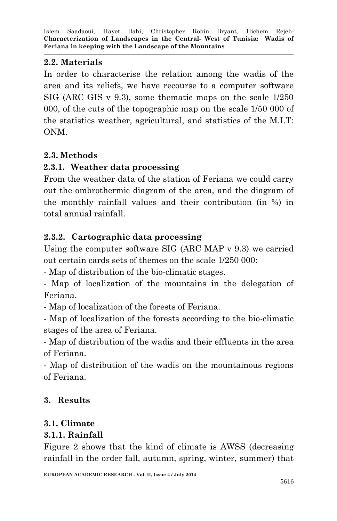# **2.2. Materials**

In order to characterise the relation among the wadis of the area and its reliefs, we have recourse to a computer software SIG (ARC GIS v 9.3), some thematic maps on the scale 1/250 000, of the cuts of the topographic map on the scale 1/50 000 of the statistics weather, agricultural, and statistics of the M.I.T: ONM.

# **2.3. Methods**

# **2.3.1. Weather data processing**

From the weather data of the station of Feriana we could carry out the ombrothermic diagram of the area, and the diagram of the monthly rainfall values and their contribution (in %) in total annual rainfall.

# **2.3.2. Cartographic data processing**

Using the computer software SIG (ARC MAP v 9.3) we carried out certain cards sets of themes on the scale 1/250 000:

- Map of distribution of the bio-climatic stages.

- Map of localization of the mountains in the delegation of Feriana.

- Map of localization of the forests of Feriana.

- Map of localization of the forests according to the bio-climatic stages of the area of Feriana.

- Map of distribution of the wadis and their effluents in the area of Feriana.

- Map of distribution of the wadis on the mountainous regions of Feriana.

# **3. Results**

# **3.1. Climate**

### **3.1.1. Rainfall**

Figure 2 shows that the kind of climate is AWSS (decreasing rainfall in the order fall, autumn, spring, winter, summer) that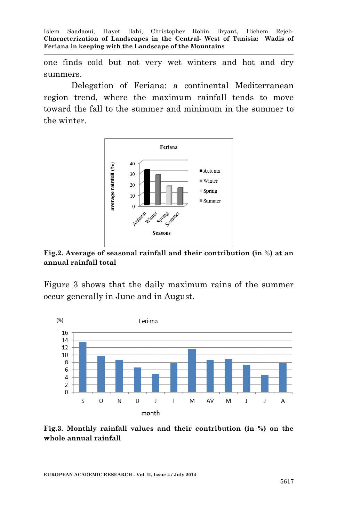one finds cold but not very wet winters and hot and dry summers.

Delegation of Feriana: a continental Mediterranean region trend, where the maximum rainfall tends to move toward the fall to the summer and minimum in the summer to the winter.



**Fig.2. Average of seasonal rainfall and their contribution (in %) at an annual rainfall total**

Figure 3 shows that the daily maximum rains of the summer occur generally in June and in August.



**Fig.3. Monthly rainfall values and their contribution (in %) on the whole annual rainfall**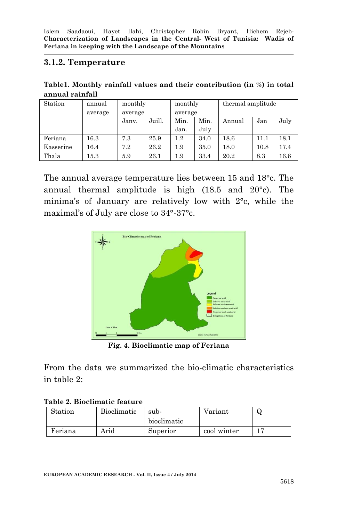#### **3.1.2. Temperature**

**Table1. Monthly rainfall values and their contribution (in %) in total annual rainfall**

| Station   | annual   | monthly |        | monthly |      | thermal amplitude |      |      |
|-----------|----------|---------|--------|---------|------|-------------------|------|------|
|           | average  | average |        | average |      |                   |      |      |
|           |          | Jany.   | Juill. | Min.    | Min. | Annual            | Jan  | July |
|           |          |         |        | Jan.    | July |                   |      |      |
| Feriana   | $16.3\,$ | 7.3     | 25.9   | $1.2\,$ | 34.0 | 18.6              | 11.1 | 18.1 |
| Kasserine | 16.4     | 7.2     | 26.2   | 1.9     | 35.0 | 18.0              | 10.8 | 17.4 |
| Thala     | $15.3\,$ | 5.9     | 26.1   | 1.9     | 33.4 | 20.2              | 8.3  | 16.6 |

The annual average temperature lies between 15 and 18°c. The annual thermal amplitude is high (18.5 and 20°c). The minima's of January are relatively low with 2°c, while the maximal's of July are close to 34°-37°c.



**Fig. 4. Bioclimatic map of Feriana**

From the data we summarized the bio-climatic characteristics in table 2:

|  |  |  |  | Table 2. Bioclimatic feature |
|--|--|--|--|------------------------------|
|--|--|--|--|------------------------------|

| Station | Bioclimatic | sub-        | Variant     | ีผ |
|---------|-------------|-------------|-------------|----|
|         |             | bioclimatic |             |    |
| Feriana | Arid        | Superior    | cool winter |    |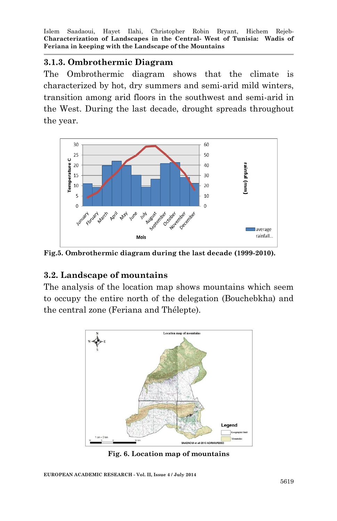#### **3.1.3. Ombrothermic Diagram**

The Ombrothermic diagram shows that the climate is characterized by hot, dry summers and semi-arid mild winters, transition among arid floors in the southwest and semi-arid in the West. During the last decade, drought spreads throughout the year.



**Fig.5. Ombrothermic diagram during the last decade (1999-2010).**

### **3.2. Landscape of mountains**

The analysis of the location map shows mountains which seem to occupy the entire north of the delegation (Bouchebkha) and the central zone (Feriana and Thélepte).



**Fig. 6. Location map of mountains**

**EUROPEAN ACADEMIC RESEARCH - Vol. II, Issue 4 / July 2014**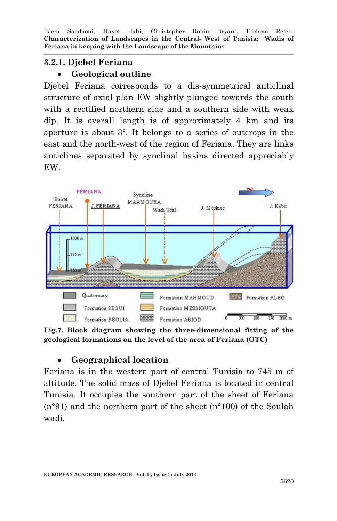# **3.2.1. Djebel Feriana**

### **Geological outline**

Djebel Feriana corresponds to a dis-symmetrical anticlinal structure of axial plan EW slightly plunged towards the south with a rectified northern side and a southern side with weak dip. It is overall length is of approximately 4 km and its aperture is about 3°. It belongs to a series of outcrops in the east and the north-west of the region of Feriana. They are links anticlines separated by synclinal basins directed appreciably EW.



**Fig.7. Block diagram showing the three-dimensional fitting of the geological formations on the level of the area of Feriana (OTC)**

### **Geographical location**

Feriana is in the western part of central Tunisia to 745 m of altitude. The solid mass of Djebel Feriana is located in central Tunisia. It occupies the southern part of the sheet of Feriana (n°91) and the northern part of the sheet (n°100) of the Soulah wadi.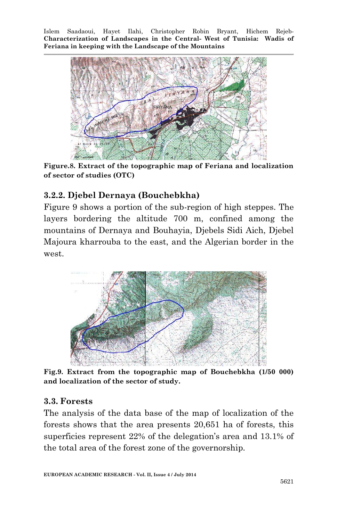

**Figure.8. Extract of the topographic map of Feriana and localization of sector of studies (OTC)**

# **3.2.2. Djebel Dernaya (Bouchebkha)**

Figure 9 shows a portion of the sub-region of high steppes. The layers bordering the altitude 700 m, confined among the mountains of Dernaya and Bouhayia, Djebels Sidi Aich, Djebel Majoura kharrouba to the east, and the Algerian border in the west.



**Fig.9. Extract from the topographic map of Bouchebkha (1/50 000) and localization of the sector of study.**

#### **3.3. Forests**

The analysis of the data base of the map of localization of the forests shows that the area presents 20,651 ha of forests, this superficies represent 22% of the delegation's area and 13.1% of the total area of the forest zone of the governorship.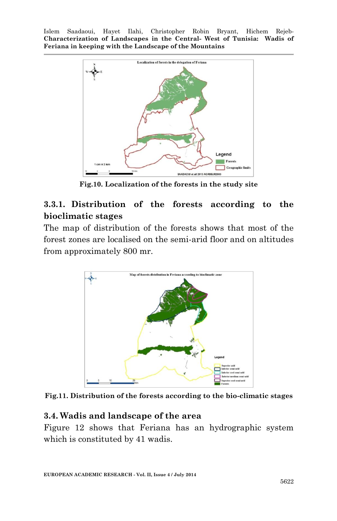

**Fig.10. Localization of the forests in the study site**

# **3.3.1. Distribution of the forests according to the bioclimatic stages**

The map of distribution of the forests shows that most of the forest zones are localised on the semi-arid floor and on altitudes from approximately 800 mr.



**Fig.11. Distribution of the forests according to the bio-climatic stages**

#### **3.4. Wadis and landscape of the area**

Figure 12 shows that Feriana has an hydrographic system which is constituted by 41 wadis.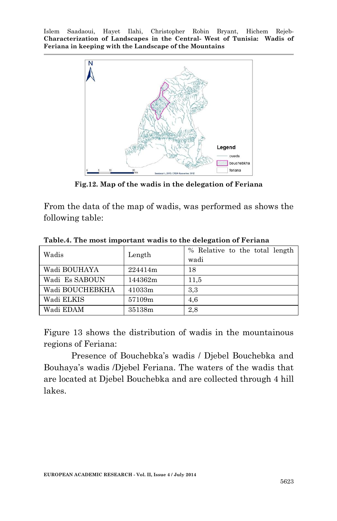

**Fig.12. Map of the wadis in the delegation of Feriana**

From the data of the map of wadis, was performed as shows the following table:

| Wadis           | Length  | % Relative to the total length |
|-----------------|---------|--------------------------------|
|                 |         | wadi                           |
| Wadi BOUHAYA    | 224414m | 18                             |
| Wadi Es SABOUN  | 144362m | 11,5                           |
| Wadi BOUCHEBKHA | 41033m  | 3,3                            |
| Wadi ELKIS      | 57109m  | 4.6                            |
| Wadi EDAM       | 35138m  | 2,8                            |

**Table.4. The most important wadis to the delegation of Feriana**

Figure 13 shows the distribution of wadis in the mountainous regions of Feriana:

Presence of Bouchebka's wadis / Djebel Bouchebka and Bouhaya's wadis /Djebel Feriana. The waters of the wadis that are located at Djebel Bouchebka and are collected through 4 hill lakes.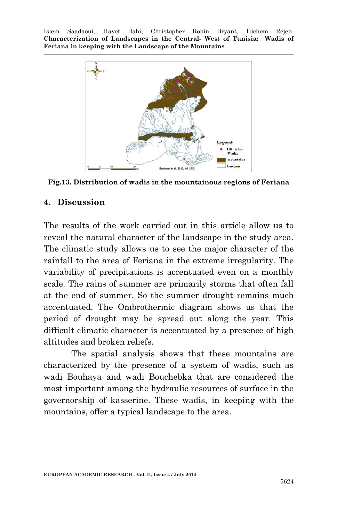

**Fig.13. Distribution of wadis in the mountainous regions of Feriana**

#### **4. Discussion**

The results of the work carried out in this article allow us to reveal the natural character of the landscape in the study area. The climatic study allows us to see the major character of the rainfall to the area of Feriana in the extreme irregularity. The variability of precipitations is accentuated even on a monthly scale. The rains of summer are primarily storms that often fall at the end of summer. So the summer drought remains much accentuated. The Ombrothermic diagram shows us that the period of drought may be spread out along the year. This difficult climatic character is accentuated by a presence of high altitudes and broken reliefs.

The spatial analysis shows that these mountains are characterized by the presence of a system of wadis, such as wadi Bouhaya and wadi Bouchebka that are considered the most important among the hydraulic resources of surface in the governorship of kasserine. These wadis, in keeping with the mountains, offer a typical landscape to the area.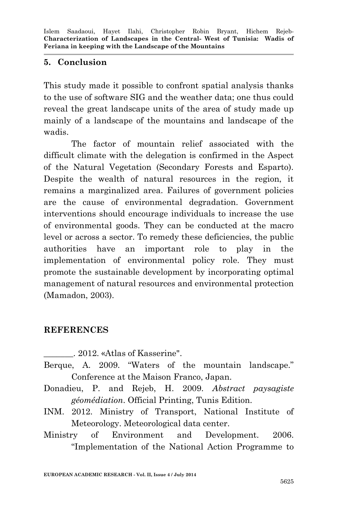#### **5. Conclusion**

This study made it possible to confront spatial analysis thanks to the use of software SIG and the weather data; one thus could reveal the great landscape units of the area of study made up mainly of a landscape of the mountains and landscape of the wadis.

The factor of mountain relief associated with the difficult climate with the delegation is confirmed in the Aspect of the Natural Vegetation (Secondary Forests and Esparto). Despite the wealth of natural resources in the region, it remains a marginalized area. Failures of government policies are the cause of environmental degradation. Government interventions should encourage individuals to increase the use of environmental goods. They can be conducted at the macro level or across a sector. To remedy these deficiencies, the public authorities have an important role to play in the implementation of environmental policy role. They must promote the sustainable development by incorporating optimal management of natural resources and environmental protection (Mamadon, 2003).

# **REFERENCES**

- \_\_\_\_\_\_\_. 2012. «Atlas of Kasserine".
- Berque, A. 2009. "Waters of the mountain landscape." Conference at the Maison Franco, Japan.
- Donadieu, P. and Rejeb, H. 2009. *Abstract paysagiste géomédiation*. Official Printing, Tunis Edition.
- INM. 2012. Ministry of Transport, National Institute of Meteorology. Meteorological data center.
- Ministry of Environment and Development. 2006. "Implementation of the National Action Programme to